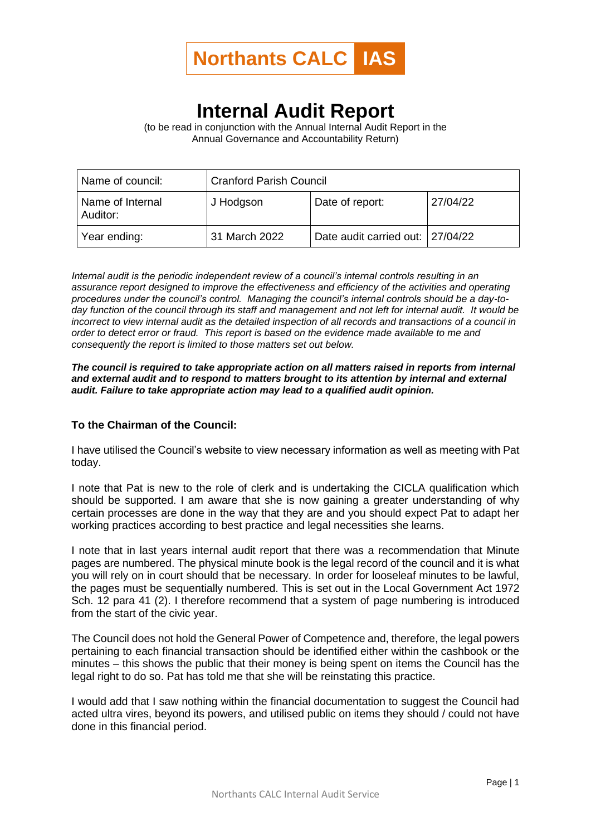

## **Internal Audit Report**

(to be read in conjunction with the Annual Internal Audit Report in the Annual Governance and Accountability Return)

| Name of council:             | <b>Cranford Parish Council</b> |                                  |          |
|------------------------------|--------------------------------|----------------------------------|----------|
| Name of Internal<br>Auditor: | J Hodgson                      | Date of report:                  | 27/04/22 |
| Year ending:                 | 31 March 2022                  | Date audit carried out: 27/04/22 |          |

*Internal audit is the periodic independent review of a council's internal controls resulting in an assurance report designed to improve the effectiveness and efficiency of the activities and operating procedures under the council's control. Managing the council's internal controls should be a day-today function of the council through its staff and management and not left for internal audit. It would be incorrect to view internal audit as the detailed inspection of all records and transactions of a council in order to detect error or fraud. This report is based on the evidence made available to me and consequently the report is limited to those matters set out below.*

## *The council is required to take appropriate action on all matters raised in reports from internal and external audit and to respond to matters brought to its attention by internal and external audit. Failure to take appropriate action may lead to a qualified audit opinion.*

## **To the Chairman of the Council:**

I have utilised the Council's website to view necessary information as well as meeting with Pat today.

I note that Pat is new to the role of clerk and is undertaking the CICLA qualification which should be supported. I am aware that she is now gaining a greater understanding of why certain processes are done in the way that they are and you should expect Pat to adapt her working practices according to best practice and legal necessities she learns.

I note that in last years internal audit report that there was a recommendation that Minute pages are numbered. The physical minute book is the legal record of the council and it is what you will rely on in court should that be necessary. In order for looseleaf minutes to be lawful, the pages must be sequentially numbered. This is set out in the Local Government Act 1972 Sch. 12 para 41 (2). I therefore recommend that a system of page numbering is introduced from the start of the civic year.

The Council does not hold the General Power of Competence and, therefore, the legal powers pertaining to each financial transaction should be identified either within the cashbook or the minutes – this shows the public that their money is being spent on items the Council has the legal right to do so. Pat has told me that she will be reinstating this practice.

I would add that I saw nothing within the financial documentation to suggest the Council had acted ultra vires, beyond its powers, and utilised public on items they should / could not have done in this financial period.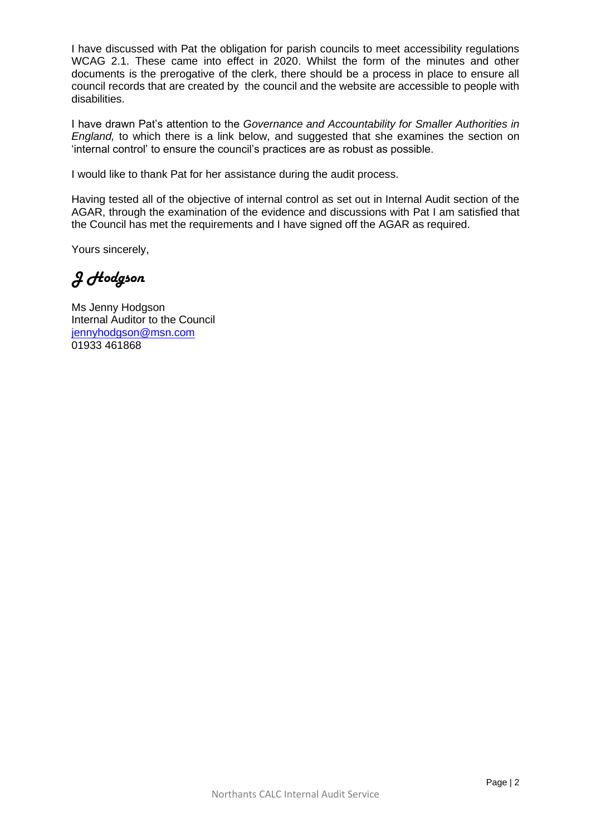I have discussed with Pat the obligation for parish councils to meet accessibility regulations WCAG 2.1. These came into effect in 2020. Whilst the form of the minutes and other documents is the prerogative of the clerk, there should be a process in place to ensure all council records that are created by the council and the website are accessible to people with disabilities.

I have drawn Pat's attention to the *Governance and Accountability for Smaller Authorities in England,* to which there is a link below, and suggested that she examines the section on 'internal control' to ensure the council's practices are as robust as possible.

I would like to thank Pat for her assistance during the audit process.

Having tested all of the objective of internal control as set out in Internal Audit section of the AGAR, through the examination of the evidence and discussions with Pat I am satisfied that the Council has met the requirements and I have signed off the AGAR as required.

Yours sincerely,

*J Hodgson*

Ms Jenny Hodgson Internal Auditor to the Council [jennyhodgson@msn.com](about:blank) 01933 461868